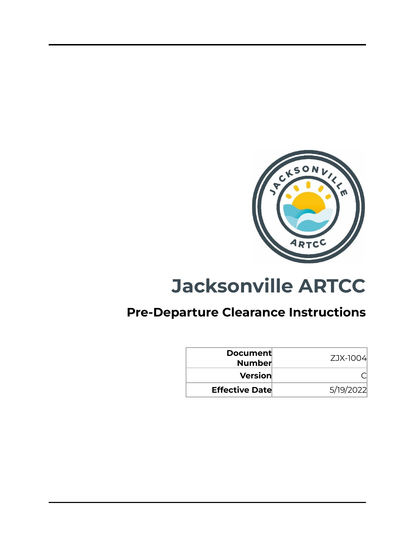

# **Jacksonville ARTCC**

# **Pre-Departure Clearance Instructions**

| <b>Document</b><br><b>Number</b> | ZJX-1004  |
|----------------------------------|-----------|
| Version                          |           |
| <b>Effective Date</b>            | 5/19/2022 |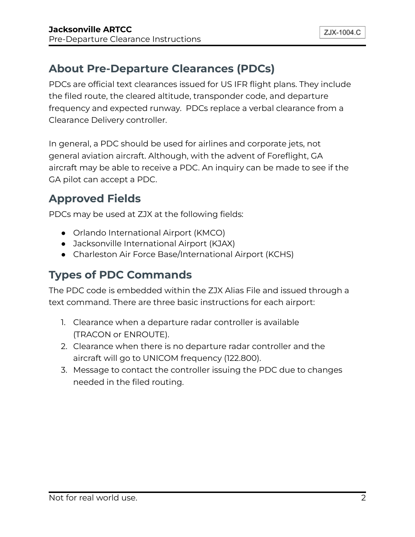# **About Pre-Departure Clearances (PDCs)**

PDCs are official text clearances issued for US IFR flight plans. They include the filed route, the cleared altitude, transponder code, and departure frequency and expected runway. PDCs replace a verbal clearance from a Clearance Delivery controller.

In general, a PDC should be used for airlines and corporate jets, not general aviation aircraft. Although, with the advent of Foreflight, GA aircraft may be able to receive a PDC. An inquiry can be made to see if the GA pilot can accept a PDC.

# **Approved Fields**

PDCs may be used at ZJX at the following fields:

- Orlando International Airport (KMCO)
- Jacksonville International Airport (KJAX)
- Charleston Air Force Base/International Airport (KCHS)

# **Types of PDC Commands**

The PDC code is embedded within the ZJX Alias File and issued through a text command. There are three basic instructions for each airport:

- 1. Clearance when a departure radar controller is available (TRACON or ENROUTE).
- 2. Clearance when there is no departure radar controller and the aircraft will go to UNICOM frequency (122.800).
- 3. Message to contact the controller issuing the PDC due to changes needed in the filed routing.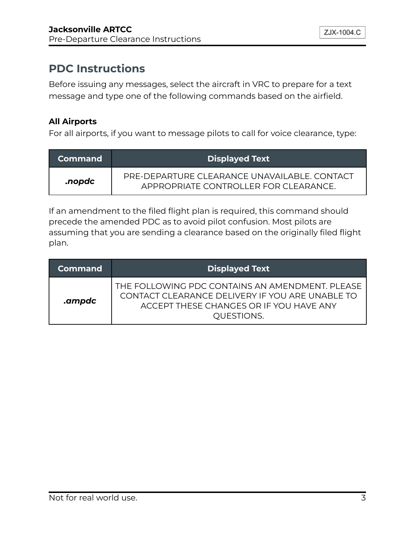# **PDC Instructions**

Before issuing any messages, select the aircraft in VRC to prepare for a text message and type one of the following commands based on the airfield.

#### **All Airports**

For all airports, if you want to message pilots to call for voice clearance, type:

| <b>Command</b> | <b>Displayed Text</b>                                                                 |
|----------------|---------------------------------------------------------------------------------------|
| .nopdc         | PRE-DEPARTURE CLEARANCE UNAVAILABLE, CONTACT<br>APPROPRIATE CONTROLLER FOR CLEARANCE. |

If an amendment to the filed flight plan is required, this command should precede the amended PDC as to avoid pilot confusion. Most pilots are assuming that you are sending a clearance based on the originally filed flight plan.

| <b>Command</b> | <b>Displayed Text</b>                                                                                                                                       |
|----------------|-------------------------------------------------------------------------------------------------------------------------------------------------------------|
| .ampdc         | THE FOLLOWING PDC CONTAINS AN AMENDMENT. PLEASE<br>CONTACT CLEARANCE DELIVERY IF YOU ARE UNABLE TO<br>ACCEPT THESE CHANGES OR IF YOU HAVE ANY<br>QUESTIONS. |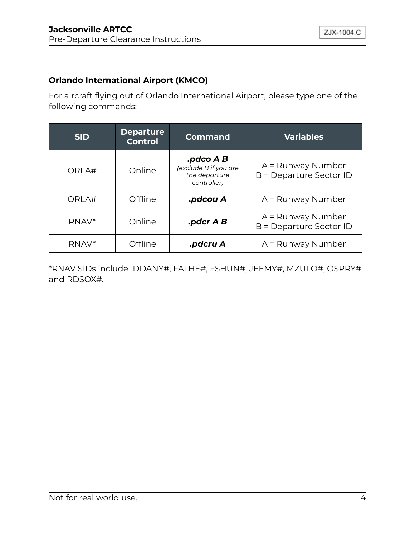#### **Orlando International Airport (KMCO)**

For aircraft flying out of Orlando International Airport, please type one of the following commands:

| <b>SID</b> | <b>Departure</b><br><b>Control</b> | <b>Command</b>                                                     | <b>Variables</b>                             |
|------------|------------------------------------|--------------------------------------------------------------------|----------------------------------------------|
| ORLA#      | Online                             | .pdco A B<br>(exclude B if you are<br>the departure<br>controller) | A = Runway Number<br>B = Departure Sector ID |
| ORLA#      | Offline                            | .pdcou A                                                           | A = Runway Number                            |
| RNAV*      | Online                             | $\mathbf{.}$ pdcr A B                                              | A = Runway Number<br>B = Departure Sector ID |
| RNAV*      | Offline                            | .pdcru A                                                           | A = Runway Number                            |

\*RNAV SIDs include DDANY#, FATHE#, FSHUN#, JEEMY#, MZULO#, OSPRY#, and RDSOX#.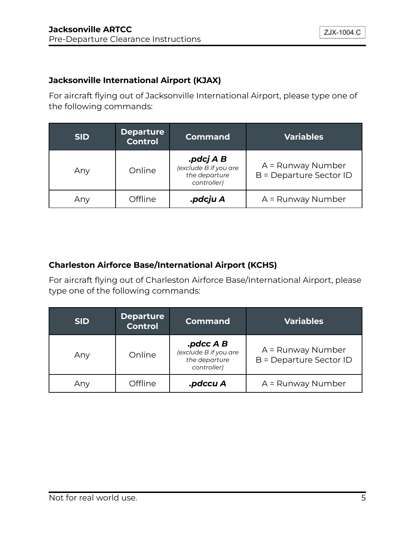#### **Jacksonville International Airport (KJAX)**

For aircraft flying out of Jacksonville International Airport, please type one of the following commands:

| <b>SID</b> | <b>Departure</b><br><b>Control</b> | <b>Command</b>                                                     | <b>Variables</b>                             |
|------------|------------------------------------|--------------------------------------------------------------------|----------------------------------------------|
| Any        | Online                             | .pdcj A B<br>(exclude B if you are<br>the departure<br>controller) | A = Runway Number<br>B = Departure Sector ID |
| Any        | Offline                            | .pdcju A                                                           | A = Runway Number                            |

#### **Charleston Airforce Base/International Airport (KCHS)**

For aircraft flying out of Charleston Airforce Base/International Airport, please type one of the following commands:

| <b>SID</b> | <b>Departure</b><br><b>Control</b> | <b>Command</b>                                                        | <b>Variables</b>                             |
|------------|------------------------------------|-----------------------------------------------------------------------|----------------------------------------------|
| Any        | Online                             | $p$ dcc A B.<br>(exclude B if you are<br>the departure<br>controller) | A = Runway Number<br>B = Departure Sector ID |
| Any        | Offline                            | .pdccu A                                                              | A = Runway Number                            |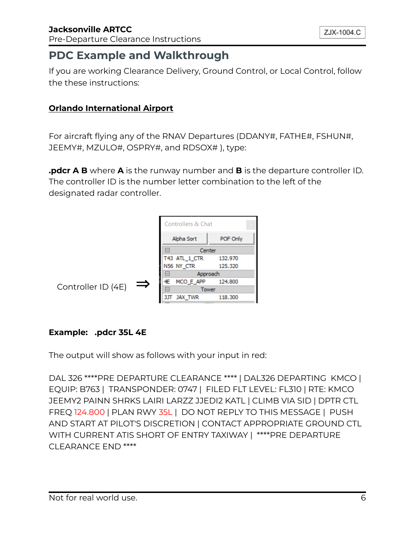# **PDC Example and Walkthrough**

If you are working Clearance Delivery, Ground Control, or Local Control, follow the these instructions:

#### **Orlando International Airport**

For aircraft flying any of the RNAV Departures (DDANY#, FATHE#, FSHUN#, JEEMY#, MZULO#, OSPRY#, and RDSOX# ), type:

**.pdcr A B** where **A** is the runway number and **B** is the departure controller ID. The controller ID is the number letter combination to the left of the designated radar controller.



#### **Example: .pdcr 35L 4E**

The output will show as follows with your input in red:

DAL 326 \*\*\*\*PRE DEPARTURE CLEARANCE \*\*\*\* | DAL326 DEPARTING KMCO | EQUIP: B763 | TRANSPONDER: 0747 | FILED FLT LEVEL: FL310 | RTE: KMCO JEEMY2 PAINN SHRKS LAIRI LARZZ JJEDI2 KATL | CLIMB VIA SID | DPTR CTL FREQ 124.800 | PLAN RWY 35L | DO NOT REPLY TO THIS MESSAGE | PUSH AND START AT PILOT'S DISCRETION | CONTACT APPROPRIATE GROUND CTL WITH CURRENT ATIS SHORT OF ENTRY TAXIWAY | \*\*\*\*PRE DEPARTURE CLEARANCE END \*\*\*\*